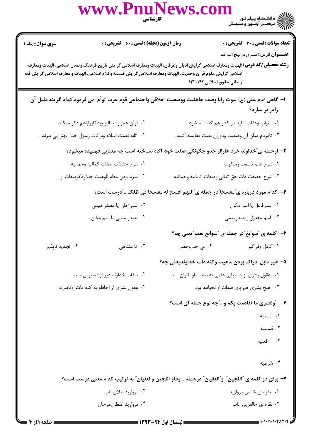|                                                                                                                                                                                                                                                                                                                                | www.PnuNews.com                                                                                           | <b>کار شناسی</b><br>مسینی                                                      | ے ۔<br>کا اللہ دانشگاہ پیام نور<br>کا اللہ مرکز آزمون و سنجش |  |  |  |
|--------------------------------------------------------------------------------------------------------------------------------------------------------------------------------------------------------------------------------------------------------------------------------------------------------------------------------|-----------------------------------------------------------------------------------------------------------|--------------------------------------------------------------------------------|--------------------------------------------------------------|--|--|--|
| <b>سری سوال :</b> یک ۱                                                                                                                                                                                                                                                                                                         | زمان آزمون (دقیقه) : تستی : 60 ٪ تشریحی : 0                                                               |                                                                                | <b>تعداد سوالات : تستی : 30 ٪ تشریحی : 0</b>                 |  |  |  |
| <b>عنـــوان درس:</b> سیری درنهج البلاغه<br><b>رشته تحصیلی/کد درس:</b> الهیات ومعارف اسلامی گرایش ادیان وعرفان، الهیات ومعارف اسلامی گرایش تاریخ فرهنگ وتمدن اسلامی، الهیات ومعارف<br>اسلامی گرایش علوم قرآن وحدیث، الهیات ومعارف اسلامی گرایش فلسفه وکلام اسلامی، الهیات و معارف اسلامی گرایش فقه<br>ومبانی حقوق اسلامی۱۲۲۰۱۴۳ |                                                                                                           |                                                                                |                                                              |  |  |  |
|                                                                                                                                                                                                                                                                                                                                | ا– گاهی امام علی (ع) نبوت رابا وصف جاهلیت ووضعیت اخلاقی واجتماعی قوم عرب توأم می فرمود.كدام گزینه دلیل آن |                                                                                | رادر بر ندارد؟                                               |  |  |  |
|                                                                                                                                                                                                                                                                                                                                | ۰۲ قرآن همواره صالح وبدكارراباهم ذكر ميكند.                                                               |                                                                                | ۰۱ ثواب وعقاب نباید در کنار هم گذاشته شود.                   |  |  |  |
|                                                                                                                                                                                                                                                                                                                                | ۰۴ تابه نعمت اسلام وبركات رسول خدا بهتر پي ببرند .                                                        | ۰۳ تامردم میان آن وضعیت ودوران بعثت مقایسه کنند.                               |                                                              |  |  |  |
|                                                                                                                                                                                                                                                                                                                                | ۲– ازجمله ی″خداوند خرد هارااز حدو چگونگی صفت خود آگاه نساخته است″چه معنایی فهمیده میشود؟                  |                                                                                |                                                              |  |  |  |
|                                                                                                                                                                                                                                                                                                                                | ٠٢ شرح حقيقت صفات كماليه وجماليه                                                                          |                                                                                | ٠١ شرح عالم ناسوت وملكوت                                     |  |  |  |
|                                                                                                                                                                                                                                                                                                                                | ۰۴ منزه بودن مقام الوهيت خداازذكرصفات او                                                                  | ۰۳ شرح حقيقت ذات حق تعالى وصفات كماليه وجماليه                                 |                                                              |  |  |  |
|                                                                                                                                                                                                                                                                                                                                |                                                                                                           | ۳- کدام مورد درباره ی ّمفسحا ّدر جمله ی ّاللهم افسح له مفسحا فی ظلک ّدرست است؟ |                                                              |  |  |  |
|                                                                                                                                                                                                                                                                                                                                | ۰۲ اسم زمان یا مصدر میمی                                                                                  |                                                                                | ۰۱ اسم فاعل یا اسم مکان                                      |  |  |  |
|                                                                                                                                                                                                                                                                                                                                | ۰۴ مصدر میمی یا اسم مکان                                                                                  |                                                                                | ۰۳ اسم مفعول ومصدرمیمی                                       |  |  |  |
|                                                                                                                                                                                                                                                                                                                                |                                                                                                           |                                                                                | ۴-۔ کلمه ی "سوابغ"در جمله ی "سوابغ نعمه"یعنی چه؟             |  |  |  |
| ۰۴ تجدید ناپذیر                                                                                                                                                                                                                                                                                                                | ۰۳ نا متناهی                                                                                              | ۰۲ بی حد وحصر                                                                  | ۰۱ كامل وفراگير                                              |  |  |  |
|                                                                                                                                                                                                                                                                                                                                |                                                                                                           | ۵– غیر قابل ادراک بودن ماهیت وکنه ذات خداوندیعنی چه؟                           |                                                              |  |  |  |
|                                                                                                                                                                                                                                                                                                                                | ۰۲ صفات خداوند دور از دسترس است.                                                                          | ٠١ عقول بشرى از دستيابي علمي به صفات او ناتوان است.                            |                                                              |  |  |  |
|                                                                                                                                                                                                                                                                                                                                | ۰۴ عقول بشرى از احاطه به كنه ذات اوقاصرند.                                                                | ۰۳ هیچ بشری هم پای صفات او نخواهد بود.                                         |                                                              |  |  |  |
|                                                                                                                                                                                                                                                                                                                                |                                                                                                           | ۶- ″ولعمری ما تقادمت بکم و…″چه نوع جمله ای است؟                                |                                                              |  |  |  |
|                                                                                                                                                                                                                                                                                                                                |                                                                                                           |                                                                                | ٠١. اسميه                                                    |  |  |  |
|                                                                                                                                                                                                                                                                                                                                |                                                                                                           |                                                                                | ۰۲ قسمیه                                                     |  |  |  |
|                                                                                                                                                                                                                                                                                                                                |                                                                                                           |                                                                                | ۰۳ فعلیه                                                     |  |  |  |
|                                                                                                                                                                                                                                                                                                                                |                                                                                                           |                                                                                | ۰۴ شرطيه                                                     |  |  |  |
|                                                                                                                                                                                                                                                                                                                                | ٧- براي دو كلمه ي "اللجين" و"العقيان" درجمله …وفلز اللجين والعقيان" به ترتيب كدام معنى درست است؟          |                                                                                |                                                              |  |  |  |
|                                                                                                                                                                                                                                                                                                                                | ۰۲ مروارید.طلای ناب                                                                                       |                                                                                | ۰۱ نقره ی خالص،مروارید                                       |  |  |  |
|                                                                                                                                                                                                                                                                                                                                | ۰۴ مرواريد غلطان.مرجان                                                                                    |                                                                                | ۰۳ نقره ی خالص:زر ناب                                        |  |  |  |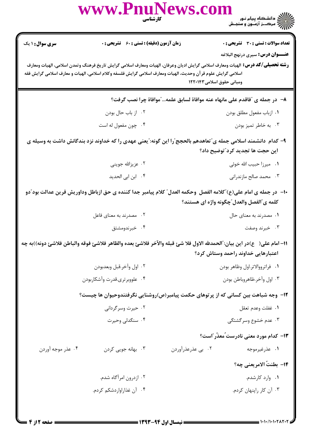|                                                                                                                                                                                                                                                                                                                                 | www.Pnulvews.c<br>كارشناسي                                                                                              |                                                                              |                                              |  |  |
|---------------------------------------------------------------------------------------------------------------------------------------------------------------------------------------------------------------------------------------------------------------------------------------------------------------------------------|-------------------------------------------------------------------------------------------------------------------------|------------------------------------------------------------------------------|----------------------------------------------|--|--|
| <b>سری سوال : ۱ یک</b>                                                                                                                                                                                                                                                                                                          | <b>زمان آزمون (دقیقه) : تستی : 60 ٪ تشریحی : 0</b>                                                                      |                                                                              | <b>تعداد سوالات : تستی : 30 ٪ تشریحی : 0</b> |  |  |
| <b>عنـــوان درس:</b> سیری درنهج البلاغه<br><b>رشته تحصیلی/کد درس:</b> الهیات ومعارف اسلامی گرایش ادیان وعرفان، الهیات ومعارف اسلامی گرایش تاریخ فرهنگ وتمدن اسلامی، الهیات ومعارف<br>اسلامی گرایش علوم قر آن وحدیث، الهیات ومعارف اسلامی گرایش فلسفه وکلام اسلامی، الهیات و معارف اسلامی گرایش فقه<br>ومبانی حقوق اسلامی۱۲۲۰۱۴۳ |                                                                                                                         |                                                                              |                                              |  |  |
|                                                                                                                                                                                                                                                                                                                                 |                                                                                                                         | ٨− در جمله ی "فاقدم علی مانهاه عنه موافاهٔ لسابق علمه…"موافاهٔ چرا نصب گرفت؟ |                                              |  |  |
|                                                                                                                                                                                                                                                                                                                                 | ۰۲ از باب حال بودن                                                                                                      |                                                                              | ٠١ ازباب مفعول مطلق بودن                     |  |  |
|                                                                                                                                                                                                                                                                                                                                 | ۰۴ چون مفعول له است                                                                                                     |                                                                              | ۰۳ به خاطر تميز بودن                         |  |  |
| ۹– کدام  دانشمند اسلامی جمله ی ّتعاهدهم بالحجج ّرا این گونه: ّیعنی عهدی را که خداوند نزد بندگانش داشت به وسیله ی<br>این حجت ها تجدید کرد ؒتوضیح داد؟                                                                                                                                                                            |                                                                                                                         |                                                                              |                                              |  |  |
|                                                                                                                                                                                                                                                                                                                                 | ۰۲ عزیزالله جوینی                                                                                                       |                                                                              | ٠١. ميرزا حبيب الله خوئي                     |  |  |
|                                                                                                                                                                                                                                                                                                                                 | ۰۴ ابن ابی الحدید                                                                                                       |                                                                              | ۰۳ محمد صالح مازندرانی                       |  |  |
| ∙ا−  در جمله ی امام علی(ع)″کلامه الفصل  وحکمه العدل″ کلام پیامبر جدا کننده ی حق ازباطل وداوریش قرین عدالت بود″دو<br>كلمه ي"الفصل والعدل"چگونه واژه اي هستند؟                                                                                                                                                                    |                                                                                                                         |                                                                              |                                              |  |  |
|                                                                                                                                                                                                                                                                                                                                 | ۰۲ مصدرند به معنای فاعل                                                                                                 |                                                                              | ۰۱ مصدرند به معنای حال                       |  |  |
|                                                                                                                                                                                                                                                                                                                                 | ۰۴ خبرندومشتق                                                                                                           |                                                                              | ۰۳ خبرند وصفت                                |  |  |
|                                                                                                                                                                                                                                                                                                                                 | 11– امام على( ح)در اين بيان: ّالحمدلله الاول فلا شئ قبله والآخر فلاشئ بعده والظاهر فلاشئ فوقه والباطن فلاشئ دونه))به چه |                                                                              | اعتبارهایی خداوند راحمد وستاش کرد؟           |  |  |
|                                                                                                                                                                                                                                                                                                                                 | ٠٢ اول وأخر.قبل وبعدبودن                                                                                                |                                                                              | ٠١ فراترووالاتر.اول وظاهر بودن               |  |  |
|                                                                                                                                                                                                                                                                                                                                 | ۰۴ علووبرتري.قدرت وآشكاربودن                                                                                            |                                                                              | ۰۳ اول وأخر.ظاهروباطن بودن                   |  |  |
|                                                                                                                                                                                                                                                                                                                                 | ۱۲– وجه شباهت بین کسانی که از پرتوهای حکمت پیامبر(ص)روشنایی نگرفتندوحیوان ها چیست؟                                      |                                                                              |                                              |  |  |
|                                                                                                                                                                                                                                                                                                                                 | ۰۲ حیرت وسرگردانی                                                                                                       |                                                                              | ٠١. غفلت وعدم تعقل                           |  |  |
|                                                                                                                                                                                                                                                                                                                                 | ۰۴ سنگدلی وحیرت                                                                                                         |                                                                              | ۰۳ عدم خشوع وسرگشتگی                         |  |  |
|                                                                                                                                                                                                                                                                                                                                 |                                                                                                                         |                                                                              | 13- کدام مورد معنی نادرست ًمعذّر ؒاست؟       |  |  |
| ۰۴ عذر موجه آوردن                                                                                                                                                                                                                                                                                                               | ۰۳ بهانه جويي کردن                                                                                                      | ۰۲ بي عذرعذرآوردن                                                            | ۰۱ عذرغیرموجه                                |  |  |
|                                                                                                                                                                                                                                                                                                                                 |                                                                                                                         |                                                                              | 14- بطنتُ الامريعني چه؟                      |  |  |
|                                                                                                                                                                                                                                                                                                                                 | ۰۲ ازدرون امرأگاه شدم.                                                                                                  |                                                                              | ۰۱ وارد کارشدم.                              |  |  |
|                                                                                                                                                                                                                                                                                                                                 | ۰۴ آن غذاراواردشکم کردم.                                                                                                |                                                                              | ۰۳ آن کار راپنهان کردم.                      |  |  |
|                                                                                                                                                                                                                                                                                                                                 |                                                                                                                         |                                                                              |                                              |  |  |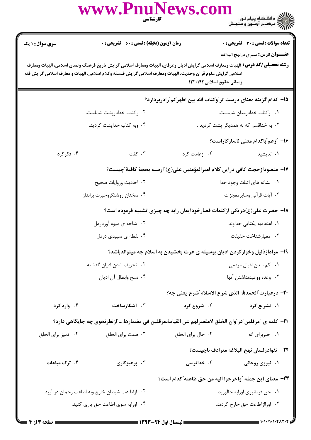|                                                                                                                                                                                                                                                                                                                                |                           | ے ۔<br>کا اللہ کا ساتھ ہے اور نور<br>کا اللہ کا سرک نے آزادوں و سنجیش                                                                                                                                                                                                                                                                                                                                                                                                                                                                                                                                                          |  |  |  |
|--------------------------------------------------------------------------------------------------------------------------------------------------------------------------------------------------------------------------------------------------------------------------------------------------------------------------------|---------------------------|--------------------------------------------------------------------------------------------------------------------------------------------------------------------------------------------------------------------------------------------------------------------------------------------------------------------------------------------------------------------------------------------------------------------------------------------------------------------------------------------------------------------------------------------------------------------------------------------------------------------------------|--|--|--|
|                                                                                                                                                                                                                                                                                                                                |                           | <b>تعداد سوالات : تستی : 30 ٪ تشریحی : 0</b>                                                                                                                                                                                                                                                                                                                                                                                                                                                                                                                                                                                   |  |  |  |
| <b>عنـــوان درس:</b> سيرى درنهج البلاغه<br><b>رشته تحصیلی/کد درس:</b> الهیات ومعارف اسلامی گرایش ادیان وعرفان، الهیات ومعارف اسلامی گرایش تاریخ فرهنگ وتمدن اسلامی، الهیات ومعارف<br>اسلامی گرایش علوم قرآن وحدیث، الهیات ومعارف اسلامی گرایش فلسفه وکلام اسلامی، الهیات و معارف اسلامی گرایش فقه<br>ومبانی حقوق اسلامی۱۲۲۰۱۴۳ |                           |                                                                                                                                                                                                                                                                                                                                                                                                                                                                                                                                                                                                                                |  |  |  |
|                                                                                                                                                                                                                                                                                                                                |                           |                                                                                                                                                                                                                                                                                                                                                                                                                                                                                                                                                                                                                                |  |  |  |
| ۰۲ وکتاب خدادرپشت شماست.                                                                                                                                                                                                                                                                                                       |                           | ۰۱ وکتاب خدادرمیان شماست.                                                                                                                                                                                                                                                                                                                                                                                                                                                                                                                                                                                                      |  |  |  |
| ۰۴ وبه کتاب خداپشت کردید.                                                                                                                                                                                                                                                                                                      |                           | ۰۳ به خداقسم که به همدیگر پشت کردید .                                                                                                                                                                                                                                                                                                                                                                                                                                                                                                                                                                                          |  |  |  |
|                                                                                                                                                                                                                                                                                                                                |                           | ۱۶- "زعم"باکدام معنی ناسازگاراست؟                                                                                                                                                                                                                                                                                                                                                                                                                                                                                                                                                                                              |  |  |  |
| ۰۳ گفت                                                                                                                                                                                                                                                                                                                         | ۰۲ زعامت کرد              | ۰۱ اندیشید                                                                                                                                                                                                                                                                                                                                                                                                                                                                                                                                                                                                                     |  |  |  |
|                                                                                                                                                                                                                                                                                                                                |                           |                                                                                                                                                                                                                                                                                                                                                                                                                                                                                                                                                                                                                                |  |  |  |
| ٢. احاديث وروايات صحيح                                                                                                                                                                                                                                                                                                         |                           | ۰۱ نشانه های اثبات وجود خدا                                                                                                                                                                                                                                                                                                                                                                                                                                                                                                                                                                                                    |  |  |  |
| ۰۴ سخنان روشنگروحیرت برانداز                                                                                                                                                                                                                                                                                                   | ٠٣ أيات قرأني وسايرمعجزات |                                                                                                                                                                                                                                                                                                                                                                                                                                                                                                                                                                                                                                |  |  |  |
|                                                                                                                                                                                                                                                                                                                                |                           |                                                                                                                                                                                                                                                                                                                                                                                                                                                                                                                                                                                                                                |  |  |  |
| ۰۲ شاخه ی میوه آوردردل                                                                                                                                                                                                                                                                                                         | ۰۱ اعتقادبه يكتايي خداوند |                                                                                                                                                                                                                                                                                                                                                                                                                                                                                                                                                                                                                                |  |  |  |
| ۰۴ نقطه ی سپیدی دردل                                                                                                                                                                                                                                                                                                           | ۰۳ معيارشناخت حقيقت       |                                                                                                                                                                                                                                                                                                                                                                                                                                                                                                                                                                                                                                |  |  |  |
|                                                                                                                                                                                                                                                                                                                                |                           |                                                                                                                                                                                                                                                                                                                                                                                                                                                                                                                                                                                                                                |  |  |  |
| ٢. تحريف شدن اديان گذشته                                                                                                                                                                                                                                                                                                       | ۰۱ کم شدن اقبال مردمی     |                                                                                                                                                                                                                                                                                                                                                                                                                                                                                                                                                                                                                                |  |  |  |
| ۰۴ نسخ وابطال آن اديان                                                                                                                                                                                                                                                                                                         | ۰۳ وعده ووعيدنداشتن آنها  |                                                                                                                                                                                                                                                                                                                                                                                                                                                                                                                                                                                                                                |  |  |  |
|                                                                                                                                                                                                                                                                                                                                |                           |                                                                                                                                                                                                                                                                                                                                                                                                                                                                                                                                                                                                                                |  |  |  |
| ۰۳ آشکارساخت                                                                                                                                                                                                                                                                                                                   | ۰۲ شروع کرد               | ۰۱ تشریع کرد                                                                                                                                                                                                                                                                                                                                                                                                                                                                                                                                                                                                                   |  |  |  |
|                                                                                                                                                                                                                                                                                                                                |                           |                                                                                                                                                                                                                                                                                                                                                                                                                                                                                                                                                                                                                                |  |  |  |
| ۰۳ صفت برای الخلق                                                                                                                                                                                                                                                                                                              | ۰۲ حال برای الخلق         | ۰۱ خبربرای انه                                                                                                                                                                                                                                                                                                                                                                                                                                                                                                                                                                                                                 |  |  |  |
|                                                                                                                                                                                                                                                                                                                                |                           | <b>٢٢</b> - تقوادرلسان نهج البلاغه مترادف باچيست؟                                                                                                                                                                                                                                                                                                                                                                                                                                                                                                                                                                              |  |  |  |
| ۰۳ پرهيزکاري                                                                                                                                                                                                                                                                                                                   | ۰۲ خداترسی                | ۰۱ نیروی روحانی                                                                                                                                                                                                                                                                                                                                                                                                                                                                                                                                                                                                                |  |  |  |
|                                                                                                                                                                                                                                                                                                                                |                           |                                                                                                                                                                                                                                                                                                                                                                                                                                                                                                                                                                                                                                |  |  |  |
| ۰۲ ازاطاعت شیطان خارج وبه اطاعت رحمان در آیید.                                                                                                                                                                                                                                                                                 |                           | ۰۱ حق فرمانبري اورابه جاآوريد.                                                                                                                                                                                                                                                                                                                                                                                                                                                                                                                                                                                                 |  |  |  |
|                                                                                                                                                                                                                                                                                                                                |                           |                                                                                                                                                                                                                                                                                                                                                                                                                                                                                                                                                                                                                                |  |  |  |
|                                                                                                                                                                                                                                                                                                                                |                           | www.PnuNews.com<br><b>کارشناسی</b><br><b>زمان آزمون (دقیقه) : تستی : 60 ٪ تشریحی : 0</b><br>۱۵– کدام گزینه معنای درست تر ّوکتاب الله بین اظهرکم ّرادربردارد؟<br>١٧– مقصودازحجت كافي دراين كلام اميرالمؤمنين على(ع) ّارسله بحجة كافية ّچيست؟<br>۱۸– حضرت علی(ع)دریکی ازکلمات قصارخودایمان رابه چه چیزی تشبیه فرموده است؟<br>۱۹- مرادازذلیل وخوارکردن ادیان بوسیله ی عزت بخشیدن به اسلام چه میتواندباشد؟<br>20- درعبارت ؒالحمدلله الذي شرع الاسلام ؒشرع يعني چه؟<br>٣١– كلمه ي "مرقلين"در″وان الخلق لامقصرلهم عن القيامهٔ.مرقلين في مضمارها″ازنظرنحوي چه جايگاهي دارد؟<br>٢٣- معناي اين جمله "واخرجوا اليه من حق طاعته"كدام است؟ |  |  |  |